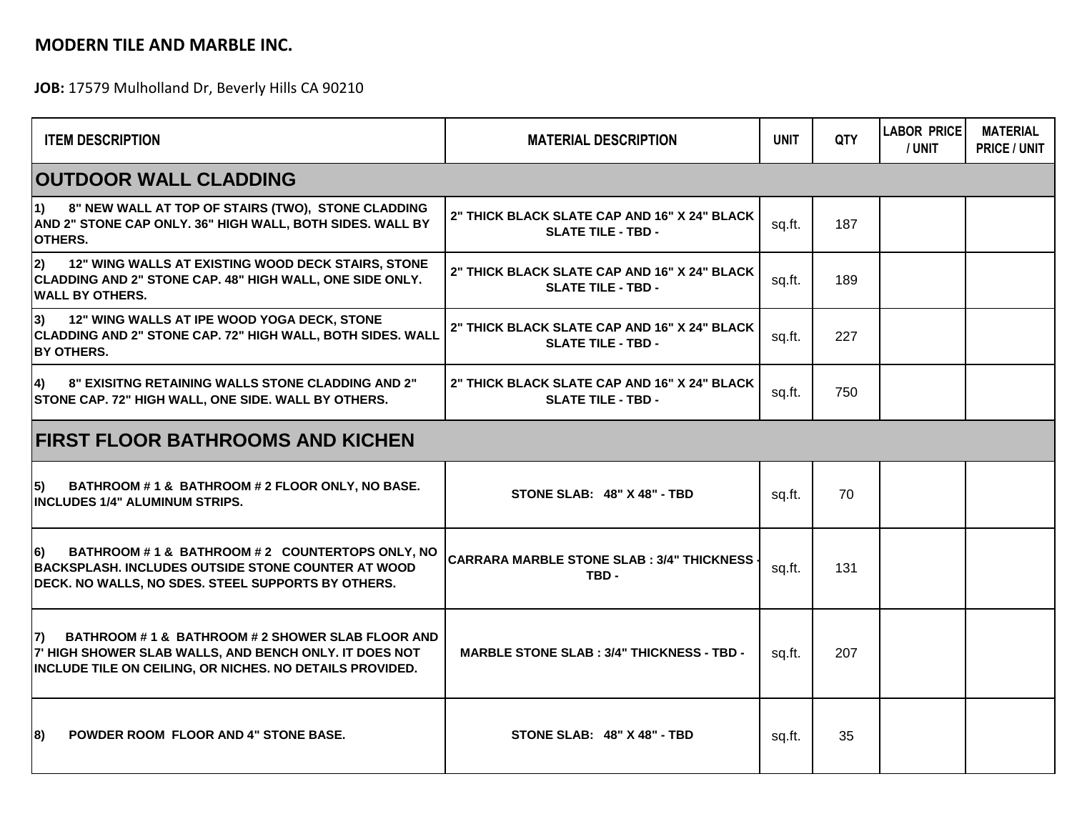## **MODERN TILE AND MARBLE INC.**

**JOB:** 17579 Mulholland Dr, Beverly Hills CA 90210

| <b>ITEM DESCRIPTION</b>                                                                                                                                                        | <b>MATERIAL DESCRIPTION</b>                                                      | <b>UNIT</b> | <b>QTY</b> | <b>LABOR PRICE</b><br>/ UNIT | <b>MATERIAL</b><br><b>PRICE / UNIT</b> |  |  |  |  |
|--------------------------------------------------------------------------------------------------------------------------------------------------------------------------------|----------------------------------------------------------------------------------|-------------|------------|------------------------------|----------------------------------------|--|--|--|--|
| <b>OUTDOOR WALL CLADDING</b>                                                                                                                                                   |                                                                                  |             |            |                              |                                        |  |  |  |  |
| 8" NEW WALL AT TOP OF STAIRS (TWO), STONE CLADDING<br>$ 1\rangle$<br>AND 2" STONE CAP ONLY. 36" HIGH WALL, BOTH SIDES. WALL BY<br><b>OTHERS.</b>                               | 2" THICK BLACK SLATE CAP AND 16" X 24" BLACK<br><b>SLATE TILE - TBD -</b>        | sq.ft.      | 187        |                              |                                        |  |  |  |  |
| $ 2\rangle$<br>12" WING WALLS AT EXISTING WOOD DECK STAIRS, STONE<br>CLADDING AND 2" STONE CAP. 48" HIGH WALL, ONE SIDE ONLY.<br><b>WALL BY OTHERS.</b>                        | 2" THICK BLACK SLATE CAP AND 16" X 24" BLACK<br><b>SLATE TILE - TBD -</b>        | sq.ft.      | 189        |                              |                                        |  |  |  |  |
| 3)<br>12" WING WALLS AT IPE WOOD YOGA DECK, STONE<br>CLADDING AND 2" STONE CAP. 72" HIGH WALL, BOTH SIDES. WALL<br><b>BY OTHERS.</b>                                           | <b>2" THICK BLACK SLATE CAP AND 16" X 24" BLACK</b><br><b>SLATE TILE - TBD -</b> | sq.ft.      | 227        |                              |                                        |  |  |  |  |
| 8" EXISITNG RETAINING WALLS STONE CLADDING AND 2"<br>4)<br>STONE CAP. 72" HIGH WALL, ONE SIDE. WALL BY OTHERS.                                                                 | 2" THICK BLACK SLATE CAP AND 16" X 24" BLACK<br><b>SLATE TILE - TBD -</b>        | sq.ft.      | 750        |                              |                                        |  |  |  |  |
| <b>FIRST FLOOR BATHROOMS AND KICHEN</b>                                                                                                                                        |                                                                                  |             |            |                              |                                        |  |  |  |  |
| 5)<br>BATHROOM #1& BATHROOM #2 FLOOR ONLY, NO BASE.<br><b>INCLUDES 1/4" ALUMINUM STRIPS.</b>                                                                                   | STONE SLAB: 48" X 48" - TBD                                                      | sq.ft.      | 70         |                              |                                        |  |  |  |  |
| BATHROOM #1& BATHROOM #2 COUNTERTOPS ONLY, NO<br>l6)<br><b>BACKSPLASH. INCLUDES OUTSIDE STONE COUNTER AT WOOD</b><br>DECK. NO WALLS, NO SDES. STEEL SUPPORTS BY OTHERS.        | <b>CARRARA MARBLE STONE SLAB : 3/4" THICKNESS</b><br>TBD -                       | sq.ft.      | 131        |                              |                                        |  |  |  |  |
| BATHROOM # 1 & BATHROOM # 2 SHOWER SLAB FLOOR AND<br>l7)<br>7' HIGH SHOWER SLAB WALLS, AND BENCH ONLY. IT DOES NOT<br>INCLUDE TILE ON CEILING, OR NICHES. NO DETAILS PROVIDED. | <b>MARBLE STONE SLAB: 3/4" THICKNESS - TBD -</b>                                 | sq.ft.      | 207        |                              |                                        |  |  |  |  |
| <b>POWDER ROOM FLOOR AND 4" STONE BASE.</b><br>8)                                                                                                                              | STONE SLAB: 48" X 48" - TBD                                                      | sq.ft.      | 35         |                              |                                        |  |  |  |  |